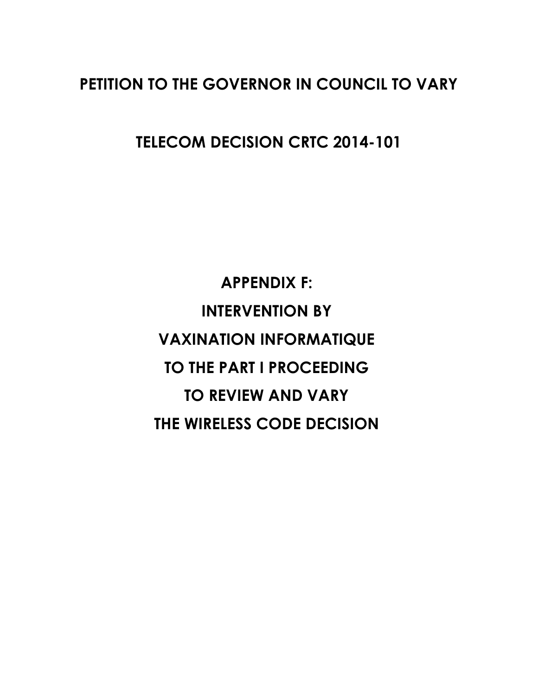# **PETITION TO THE GOVERNOR IN COUNCIL TO VARY**

**TELECOM DECISION CRTC 2014-101**

**APPENDIX F: INTERVENTION BY VAXINATION INFORMATIQUE TO THE PART I PROCEEDING TO REVIEW AND VARY THE WIRELESS CODE DECISION**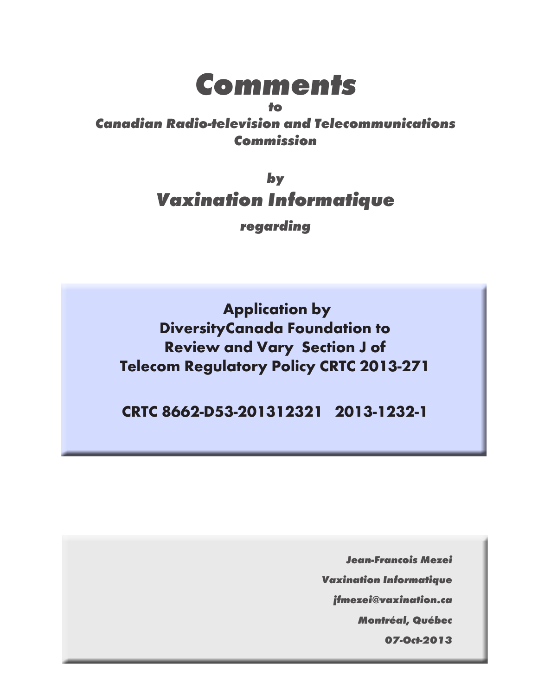

#### **to Canadian Radio-television and Telecommunications Commission**

# **by Vaxination Informatique**

**regarding**

 **Application by DiversityCanada Foundation to Review and Vary Section J of Telecom Regulatory Policy CRTC 2013-271**

**CRTC 8662-D53-201312321 2013-1232-1**

**Jean-Francois Mezei Vaxination Informatique jfmezei@vaxination.ca Montréal, Québec 07-Oct-2013**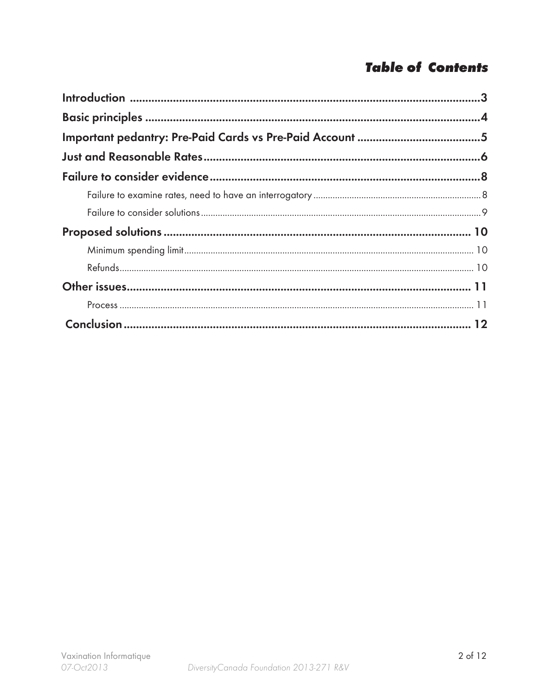# **Table of Contents**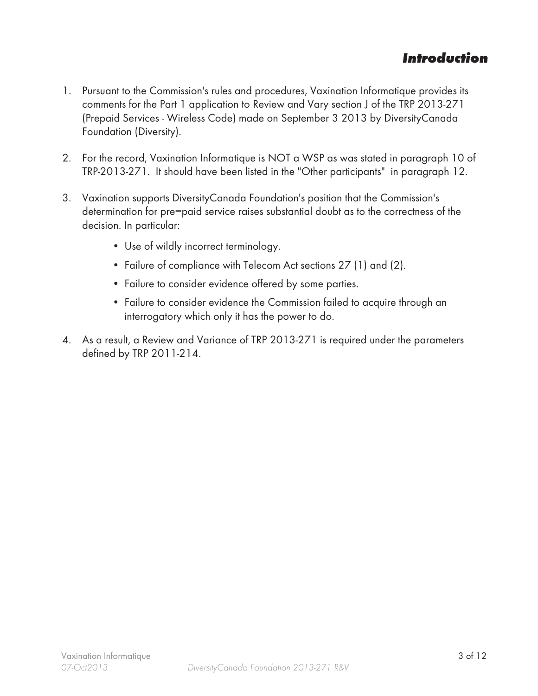#### **Introduction**

- 1. Pursuant to the Commission's rules and procedures, Vaxination Informatique provides its comments for the Part 1 application to Review and Vary section J of the TRP 2013-271 (Prepaid Services - Wireless Code) made on September 3 2013 by DiversityCanada Foundation (Diversity).
- 2. For the record, Vaxination Informatique is NOT a WSP as was stated in paragraph 10 of TRP-2013-271. It should have been listed in the "Other participants" in paragraph 12.
- 3. Vaxination supports DiversityCanada Foundation's position that the Commission's determination for pre=paid service raises substantial doubt as to the correctness of the decision. In particular:
	- Use of wildly incorrect terminology.
	- Failure of compliance with Telecom Act sections 27 (1) and (2).
	- Failure to consider evidence offered by some parties.
	- Failure to consider evidence the Commission failed to acquire through an interrogatory which only it has the power to do.
- 4. As a result, a Review and Variance of TRP 2013-271 is required under the parameters defined by TRP 2011-214.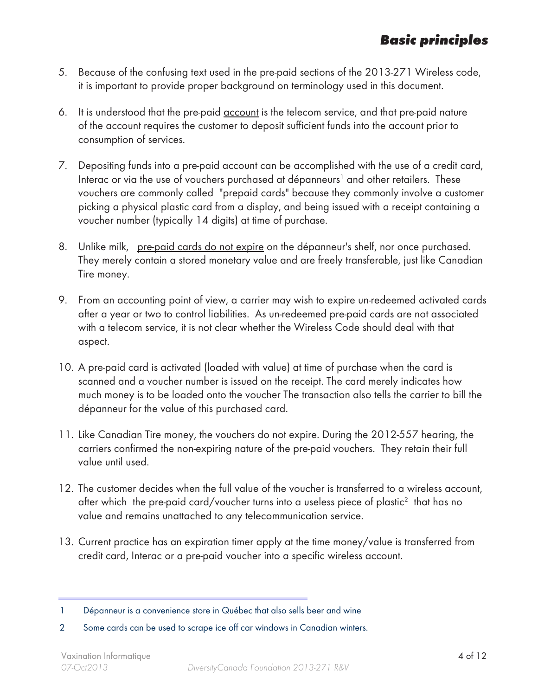# **Basic principles**

- 5. Because of the confusing text used in the pre-paid sections of the 2013-271 Wireless code, it is important to provide proper background on terminology used in this document.
- 6. It is understood that the pre-paid account is the telecom service, and that pre-paid nature of the account requires the customer to deposit sufficient funds into the account prior to consumption of services.
- 7. Depositing funds into a pre-paid account can be accomplished with the use of a credit card, Interac or via the use of vouchers purchased at dépanneurs<sup>1</sup> and other retailers. These vouchers are commonly called "prepaid cards" because they commonly involve a customer picking a physical plastic card from a display, and being issued with a receipt containing a voucher number (typically 14 digits) at time of purchase.
- 8. Unlike milk, pre-paid cards do not expire on the dépanneur's shelf, nor once purchased. They merely contain a stored monetary value and are freely transferable, just like Canadian Tire money.
- 9. From an accounting point of view, a carrier may wish to expire un-redeemed activated cards after a year or two to control liabilities. As un-redeemed pre-paid cards are not associated with a telecom service, it is not clear whether the Wireless Code should deal with that aspect.
- 10. A pre-paid card is activated (loaded with value) at time of purchase when the card is scanned and a voucher number is issued on the receipt. The card merely indicates how much money is to be loaded onto the voucher The transaction also tells the carrier to bill the dépanneur for the value of this purchased card.
- 11. Like Canadian Tire money, the vouchers do not expire. During the 2012-557 hearing, the carriers confirmed the non-expiring nature of the pre-paid vouchers. They retain their full value until used.
- 12. The customer decides when the full value of the voucher is transferred to a wireless account, after which the pre-paid card/voucher turns into a useless piece of plastic<sup>2</sup> that has no value and remains unattached to any telecommunication service.
- 13. Current practice has an expiration timer apply at the time money/value is transferred from credit card, Interac or a pre-paid voucher into a specific wireless account.

<sup>1</sup> Dépanneur is a convenience store in Québec that also sells beer and wine

<sup>2</sup> Some cards can be used to scrape ice off car windows in Canadian winters.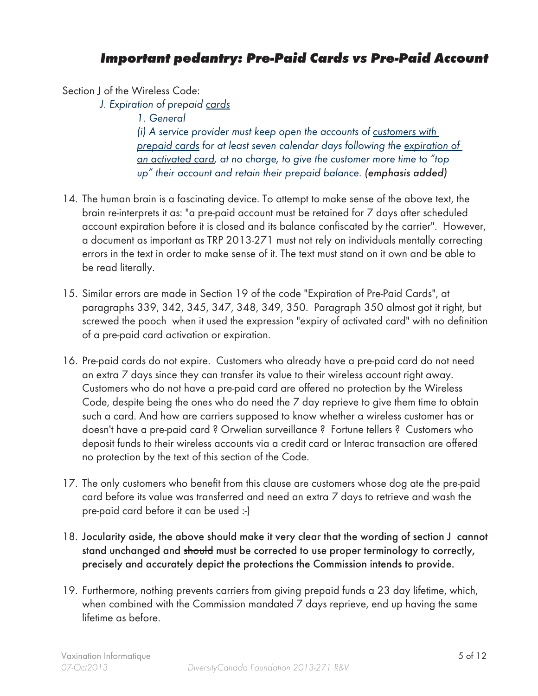#### **Important pedantry: Pre-Paid Cards vs Pre-Paid Account**

Section J of the Wireless Code:

J. Expiration of prepaid cards

1. General

(i) A service provider must keep open the accounts of customers with prepaid cards for at least seven calendar days following the expiration of an activated card, at no charge, to give the customer more time to "top up" their account and retain their prepaid balance. (emphasis added)

- 14. The human brain is a fascinating device. To attempt to make sense of the above text, the brain re-interprets it as: "a pre-paid account must be retained for 7 days after scheduled account expiration before it is closed and its balance confiscated by the carrier". However, a document as important as TRP 2013-271 must not rely on individuals mentally correcting errors in the text in order to make sense of it. The text must stand on it own and be able to be read literally.
- 15. Similar errors are made in Section 19 of the code "Expiration of Pre-Paid Cards", at paragraphs 339, 342, 345, 347, 348, 349, 350. Paragraph 350 almost got it right, but screwed the pooch when it used the expression "expiry of activated card" with no definition of a pre-paid card activation or expiration.
- 16. Pre-paid cards do not expire. Customers who already have a pre-paid card do not need an extra 7 days since they can transfer its value to their wireless account right away. Customers who do not have a pre-paid card are offered no protection by the Wireless Code, despite being the ones who do need the 7 day reprieve to give them time to obtain such a card. And how are carriers supposed to know whether a wireless customer has or doesn't have a pre-paid card ? Orwelian surveillance ? Fortune tellers ? Customers who deposit funds to their wireless accounts via a credit card or Interac transaction are offered no protection by the text of this section of the Code.
- 17. The only customers who benefit from this clause are customers whose dog ate the pre-paid card before its value was transferred and need an extra 7 days to retrieve and wash the pre-paid card before it can be used :-)
- 18. Jocularity aside, the above should make it very clear that the wording of section J cannot stand unchanged and should must be corrected to use proper terminology to correctly, precisely and accurately depict the protections the Commission intends to provide.
- 19. Furthermore, nothing prevents carriers from giving prepaid funds a 23 day lifetime, which, when combined with the Commission mandated 7 days reprieve, end up having the same lifetime as before.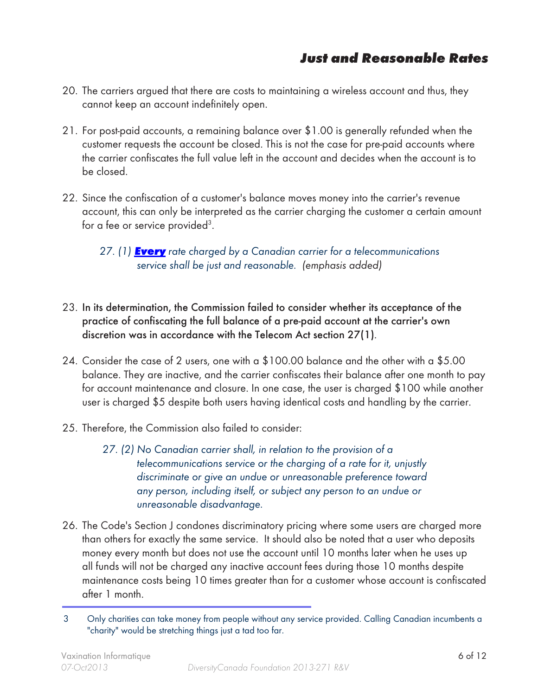#### **Just and Reasonable Rates**

- 20. The carriers argued that there are costs to maintaining a wireless account and thus, they cannot keep an account indefinitely open.
- 21. For post-paid accounts, a remaining balance over \$1.00 is generally refunded when the customer requests the account be closed. This is not the case for pre-paid accounts where the carrier confiscates the full value left in the account and decides when the account is to be closed.
- 22. Since the confiscation of a customer's balance moves money into the carrier's revenue account, this can only be interpreted as the carrier charging the customer a certain amount for a fee or service provided<sup>3</sup>.

#### 27. (1) **Every** rate charged by a Canadian carrier for a telecommunications service shall be just and reasonable. (emphasis added)

- 23. In its determination, the Commission failed to consider whether its acceptance of the practice of confiscating the full balance of a pre-paid account at the carrier's own discretion was in accordance with the Telecom Act section 27(1).
- 24. Consider the case of 2 users, one with a \$100.00 balance and the other with a \$5.00 balance. They are inactive, and the carrier confiscates their balance after one month to pay for account maintenance and closure. In one case, the user is charged \$100 while another user is charged \$5 despite both users having identical costs and handling by the carrier.
- 25. Therefore, the Commission also failed to consider:
	- 27. (2) No Canadian carrier shall, in relation to the provision of a telecommunications service or the charging of a rate for it, unjustly discriminate or give an undue or unreasonable preference toward any person, including itself, or subject any person to an undue or unreasonable disadvantage.
- 26. The Code's Section J condones discriminatory pricing where some users are charged more than others for exactly the same service. It should also be noted that a user who deposits money every month but does not use the account until 10 months later when he uses up all funds will not be charged any inactive account fees during those 10 months despite maintenance costs being 10 times greater than for a customer whose account is confiscated after 1 month.

<sup>3</sup> Only charities can take money from people without any service provided. Calling Canadian incumbents a "charity" would be stretching things just a tad too far.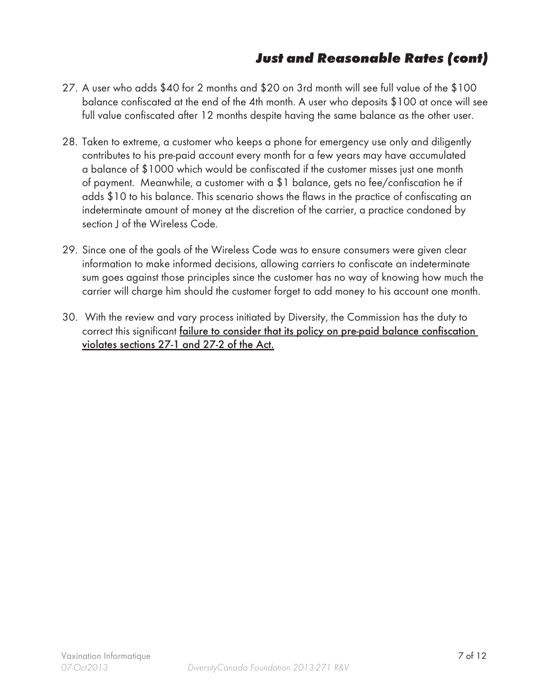### **Just and Reasonable Rates (cont)**

- 27. A user who adds \$40 for 2 months and \$20 on 3rd month will see full value of the \$100 balance confiscated at the end of the 4th month. A user who deposits \$100 at once will see full value confiscated after 12 months despite having the same balance as the other user.
- 28. Taken to extreme, a customer who keeps a phone for emergency use only and diligently contributes to his pre-paid account every month for a few years may have accumulated a balance of \$1000 which would be confiscated if the customer misses just one month of payment. Meanwhile, a customer with a \$1 balance, gets no fee/confiscation he if adds \$10 to his balance. This scenario shows the flaws in the practice of confiscating an indeterminate amount of money at the discretion of the carrier, a practice condoned by section J of the Wireless Code.
- 29. Since one of the goals of the Wireless Code was to ensure consumers were given clear information to make informed decisions, allowing carriers to confiscate an indeterminate sum goes against those principles since the customer has no way of knowing how much the carrier will charge him should the customer forget to add money to his account one month.
- 30. With the review and vary process initiated by Diversity, the Commission has the duty to correct this significant failure to consider that its policy on pre-paid balance confiscation violates sections 27-1 and 27-2 of the Act.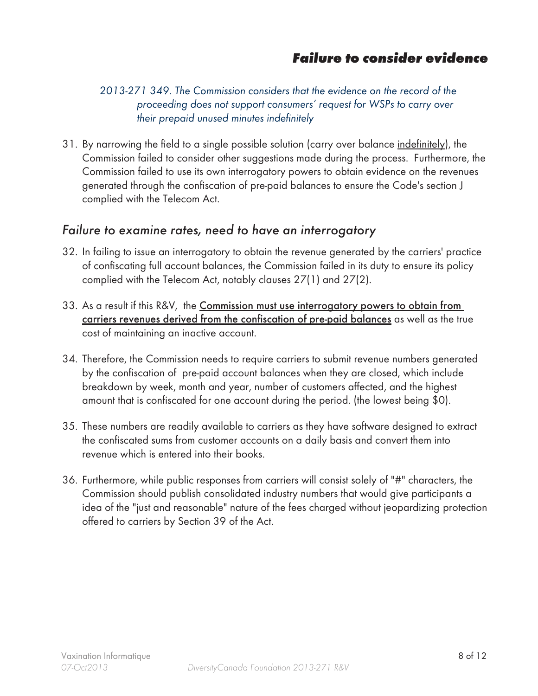### **Failure to consider evidence**

2013-271 349. The Commission considers that the evidence on the record of the proceeding does not support consumers' request for WSPs to carry over their prepaid unused minutes indefinitely

31. By narrowing the field to a single possible solution (carry over balance indefinitely), the Commission failed to consider other suggestions made during the process. Furthermore, the Commission failed to use its own interrogatory powers to obtain evidence on the revenues generated through the confiscation of pre-paid balances to ensure the Code's section J complied with the Telecom Act.

#### Failure to examine rates, need to have an interrogatory

- 32. In failing to issue an interrogatory to obtain the revenue generated by the carriers' practice of confiscating full account balances, the Commission failed in its duty to ensure its policy complied with the Telecom Act, notably clauses 27(1) and 27(2).
- 33. As a result if this R&V, the Commission must use interrogatory powers to obtain from carriers revenues derived from the confiscation of pre-paid balances as well as the true cost of maintaining an inactive account.
- 34. Therefore, the Commission needs to require carriers to submit revenue numbers generated by the confiscation of pre-paid account balances when they are closed, which include breakdown by week, month and year, number of customers affected, and the highest amount that is confiscated for one account during the period. (the lowest being \$0).
- 35. These numbers are readily available to carriers as they have software designed to extract the confiscated sums from customer accounts on a daily basis and convert them into revenue which is entered into their books.
- 36. Furthermore, while public responses from carriers will consist solely of "#" characters, the Commission should publish consolidated industry numbers that would give participants a idea of the "just and reasonable" nature of the fees charged without jeopardizing protection offered to carriers by Section 39 of the Act.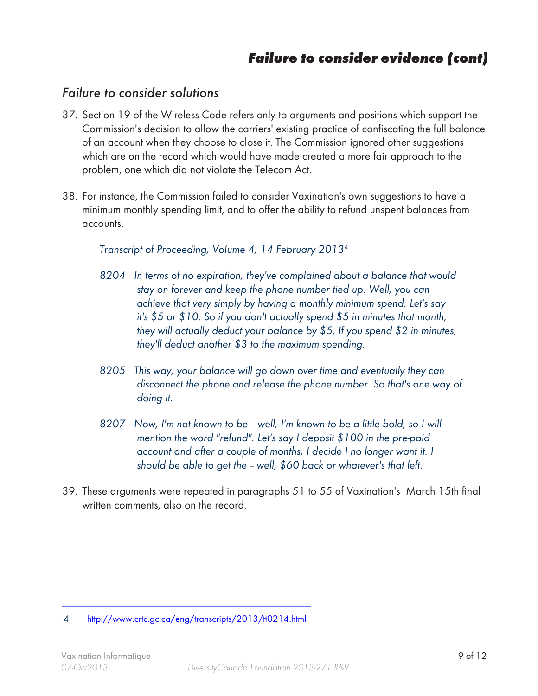### **Failure to consider evidence (cont)**

#### Failure to consider solutions

- 37. Section 19 of the Wireless Code refers only to arguments and positions which support the Commission's decision to allow the carriers' existing practice of confiscating the full balance of an account when they choose to close it. The Commission ignored other suggestions which are on the record which would have made created a more fair approach to the problem, one which did not violate the Telecom Act.
- 38. For instance, the Commission failed to consider Vaxination's own suggestions to have a minimum monthly spending limit, and to offer the ability to refund unspent balances from accounts.

Transcript of Proceeding, Volume 4, 14 February 20134

- 8204 In terms of no expiration, they've complained about a balance that would stay on forever and keep the phone number tied up. Well, you can achieve that very simply by having a monthly minimum spend. Let's say it's \$5 or \$10. So if you don't actually spend \$5 in minutes that month, they will actually deduct your balance by \$5. If you spend \$2 in minutes, they'll deduct another \$3 to the maximum spending.
- 8205 This way, your balance will go down over time and eventually they can disconnect the phone and release the phone number. So that's one way of doing it.
- 8207 Now, I'm not known to be well, I'm known to be a little bold, so I will mention the word "refund". Let's say I deposit \$100 in the pre-paid account and after a couple of months, I decide I no longer want it. I should be able to get the - well, \$60 back or whatever's that left.
- 39. These arguments were repeated in paragraphs 51 to 55 of Vaxination's March 15th final written comments, also on the record.

<sup>4</sup> <http://www.crtc.gc.ca/eng/transcripts/2013/tt0214.html>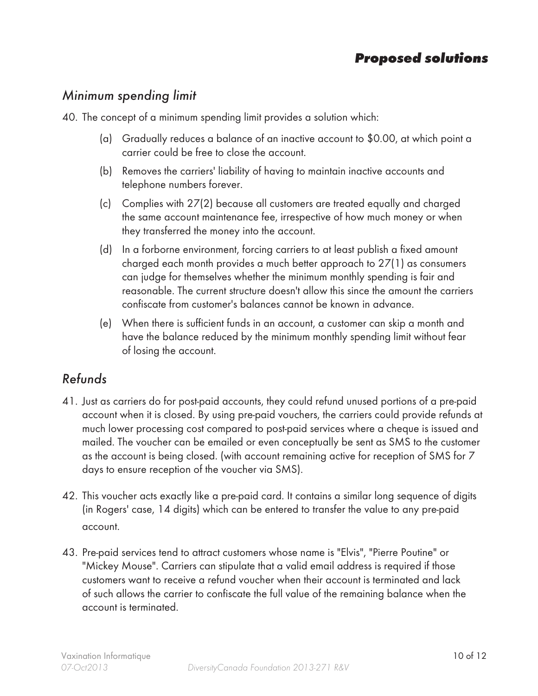#### Minimum spending limit

40. The concept of a minimum spending limit provides a solution which:

- (a) Gradually reduces a balance of an inactive account to \$0.00, at which point a carrier could be free to close the account.
- (b) Removes the carriers' liability of having to maintain inactive accounts and telephone numbers forever.
- (c) Complies with 27(2) because all customers are treated equally and charged the same account maintenance fee, irrespective of how much money or when they transferred the money into the account.
- (d) In a forborne environment, forcing carriers to at least publish a fixed amount charged each month provides a much better approach to 27(1) as consumers can judge for themselves whether the minimum monthly spending is fair and reasonable. The current structure doesn't allow this since the amount the carriers confiscate from customer's balances cannot be known in advance.
- (e) When there is sufficient funds in an account, a customer can skip a month and have the balance reduced by the minimum monthly spending limit without fear of losing the account.

## Refunds

- 41. Just as carriers do for post-paid accounts, they could refund unused portions of a pre-paid account when it is closed. By using pre-paid vouchers, the carriers could provide refunds at much lower processing cost compared to post-paid services where a cheque is issued and mailed. The voucher can be emailed or even conceptually be sent as SMS to the customer as the account is being closed. (with account remaining active for reception of SMS for 7 days to ensure reception of the voucher via SMS).
- 42. This voucher acts exactly like a pre-paid card. It contains a similar long sequence of digits (in Rogers' case, 14 digits) which can be entered to transfer the value to any pre-paid account.
- 43. Pre-paid services tend to attract customers whose name is "Elvis", "Pierre Poutine" or "Mickey Mouse". Carriers can stipulate that a valid email address is required if those customers want to receive a refund voucher when their account is terminated and lack of such allows the carrier to confiscate the full value of the remaining balance when the account is terminated.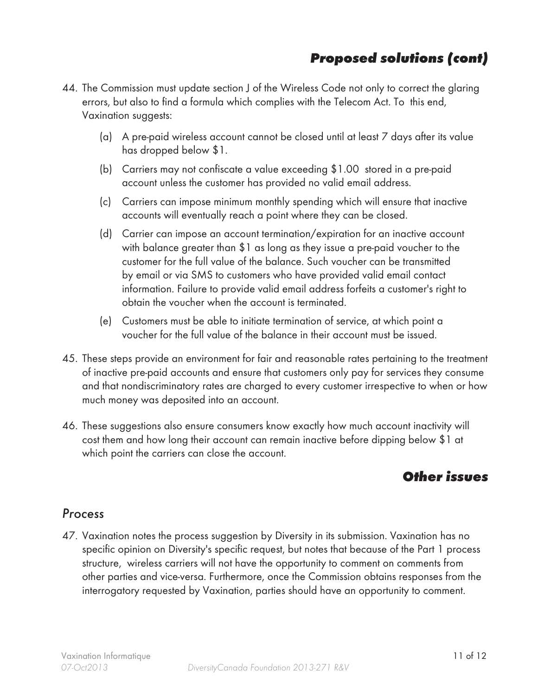# **Proposed solutions (cont)**

- 44. The Commission must update section J of the Wireless Code not only to correct the glaring errors, but also to find a formula which complies with the Telecom Act. To this end, Vaxination suggests:
	- (a) A pre-paid wireless account cannot be closed until at least 7 days after its value has dropped below \$1.
	- (b) Carriers may not confiscate a value exceeding \$1.00 stored in a pre-paid account unless the customer has provided no valid email address.
	- (c) Carriers can impose minimum monthly spending which will ensure that inactive accounts will eventually reach a point where they can be closed.
	- (d) Carrier can impose an account termination/expiration for an inactive account with balance greater than \$1 as long as they issue a pre-paid voucher to the customer for the full value of the balance. Such voucher can be transmitted by email or via SMS to customers who have provided valid email contact information. Failure to provide valid email address forfeits a customer's right to obtain the voucher when the account is terminated.
	- (e) Customers must be able to initiate termination of service, at which point a voucher for the full value of the balance in their account must be issued.
- 45. These steps provide an environment for fair and reasonable rates pertaining to the treatment of inactive pre-paid accounts and ensure that customers only pay for services they consume and that nondiscriminatory rates are charged to every customer irrespective to when or how much money was deposited into an account.
- 46. These suggestions also ensure consumers know exactly how much account inactivity will cost them and how long their account can remain inactive before dipping below \$1 at which point the carriers can close the account.

### **Other issues**

#### Process

47. Vaxination notes the process suggestion by Diversity in its submission. Vaxination has no specific opinion on Diversity's specific request, but notes that because of the Part 1 process structure, wireless carriers will not have the opportunity to comment on comments from other parties and vice-versa. Furthermore, once the Commission obtains responses from the interrogatory requested by Vaxination, parties should have an opportunity to comment.